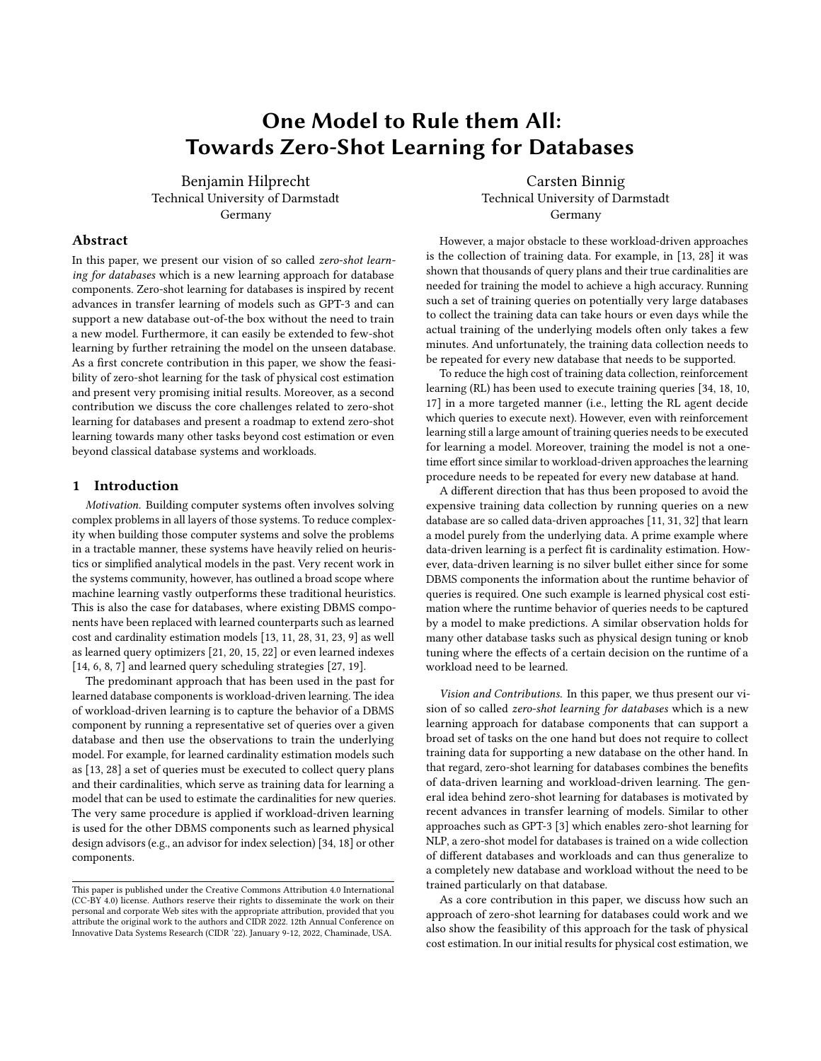# One Model to Rule them All: Towards Zero-Shot Learning for Databases

Benjamin Hilprecht Technical University of Darmstadt Germany

Carsten Binnig Technical University of Darmstadt Germany

# Abstract

In this paper, we present our vision of so called zero-shot learning for databases which is a new learning approach for database components. Zero-shot learning for databases is inspired by recent advances in transfer learning of models such as GPT-3 and can support a new database out-of-the box without the need to train a new model. Furthermore, it can easily be extended to few-shot learning by further retraining the model on the unseen database. As a first concrete contribution in this paper, we show the feasibility of zero-shot learning for the task of physical cost estimation and present very promising initial results. Moreover, as a second contribution we discuss the core challenges related to zero-shot learning for databases and present a roadmap to extend zero-shot learning towards many other tasks beyond cost estimation or even beyond classical database systems and workloads.

# 1 Introduction

Motivation. Building computer systems often involves solving complex problems in all layers of those systems. To reduce complexity when building those computer systems and solve the problems in a tractable manner, these systems have heavily relied on heuristics or simplified analytical models in the past. Very recent work in the systems community, however, has outlined a broad scope where machine learning vastly outperforms these traditional heuristics. This is also the case for databases, where existing DBMS components have been replaced with learned counterparts such as learned cost and cardinality estimation models [\[13,](#page-6-0) [11,](#page-6-1) [28,](#page-6-2) [31,](#page-6-3) [23,](#page-6-4) [9\]](#page-6-5) as well as learned query optimizers [\[21,](#page-6-6) [20,](#page-6-7) [15,](#page-6-8) [22\]](#page-6-9) or even learned indexes [\[14,](#page-6-10) [6,](#page-6-11) [8,](#page-6-12) [7\]](#page-6-13) and learned query scheduling strategies [\[27,](#page-6-14) [19\]](#page-6-15).

The predominant approach that has been used in the past for learned database components is workload-driven learning. The idea of workload-driven learning is to capture the behavior of a DBMS component by running a representative set of queries over a given database and then use the observations to train the underlying model. For example, for learned cardinality estimation models such as [\[13,](#page-6-0) [28\]](#page-6-2) a set of queries must be executed to collect query plans and their cardinalities, which serve as training data for learning a model that can be used to estimate the cardinalities for new queries. The very same procedure is applied if workload-driven learning is used for the other DBMS components such as learned physical design advisors (e.g., an advisor for index selection) [\[34,](#page-6-16) [18\]](#page-6-17) or other components.

However, a major obstacle to these workload-driven approaches is the collection of training data. For example, in [\[13,](#page-6-0) [28\]](#page-6-2) it was shown that thousands of query plans and their true cardinalities are needed for training the model to achieve a high accuracy. Running such a set of training queries on potentially very large databases to collect the training data can take hours or even days while the actual training of the underlying models often only takes a few minutes. And unfortunately, the training data collection needs to be repeated for every new database that needs to be supported.

To reduce the high cost of training data collection, reinforcement learning (RL) has been used to execute training queries [\[34,](#page-6-16) [18,](#page-6-17) [10,](#page-6-18) [17\]](#page-6-19) in a more targeted manner (i.e., letting the RL agent decide which queries to execute next). However, even with reinforcement learning still a large amount of training queries needs to be executed for learning a model. Moreover, training the model is not a onetime effort since similar to workload-driven approaches the learning procedure needs to be repeated for every new database at hand.

A different direction that has thus been proposed to avoid the expensive training data collection by running queries on a new database are so called data-driven approaches [\[11,](#page-6-1) [31,](#page-6-3) [32\]](#page-6-20) that learn a model purely from the underlying data. A prime example where data-driven learning is a perfect fit is cardinality estimation. However, data-driven learning is no silver bullet either since for some DBMS components the information about the runtime behavior of queries is required. One such example is learned physical cost estimation where the runtime behavior of queries needs to be captured by a model to make predictions. A similar observation holds for many other database tasks such as physical design tuning or knob tuning where the effects of a certain decision on the runtime of a workload need to be learned.

Vision and Contributions. In this paper, we thus present our vision of so called zero-shot learning for databases which is a new learning approach for database components that can support a broad set of tasks on the one hand but does not require to collect training data for supporting a new database on the other hand. In that regard, zero-shot learning for databases combines the benefits of data-driven learning and workload-driven learning. The general idea behind zero-shot learning for databases is motivated by recent advances in transfer learning of models. Similar to other approaches such as GPT-3 [\[3\]](#page-6-21) which enables zero-shot learning for NLP, a zero-shot model for databases is trained on a wide collection of different databases and workloads and can thus generalize to a completely new database and workload without the need to be trained particularly on that database.

As a core contribution in this paper, we discuss how such an approach of zero-shot learning for databases could work and we also show the feasibility of this approach for the task of physical cost estimation. In our initial results for physical cost estimation, we

This paper is published under the Creative Commons Attribution 4.0 International (CC-BY 4.0) license. Authors reserve their rights to disseminate the work on their personal and corporate Web sites with the appropriate attribution, provided that you attribute the original work to the authors and CIDR 2022. 12th Annual Conference on Innovative Data Systems Research (CIDR '22). January 9-12, 2022, Chaminade, USA.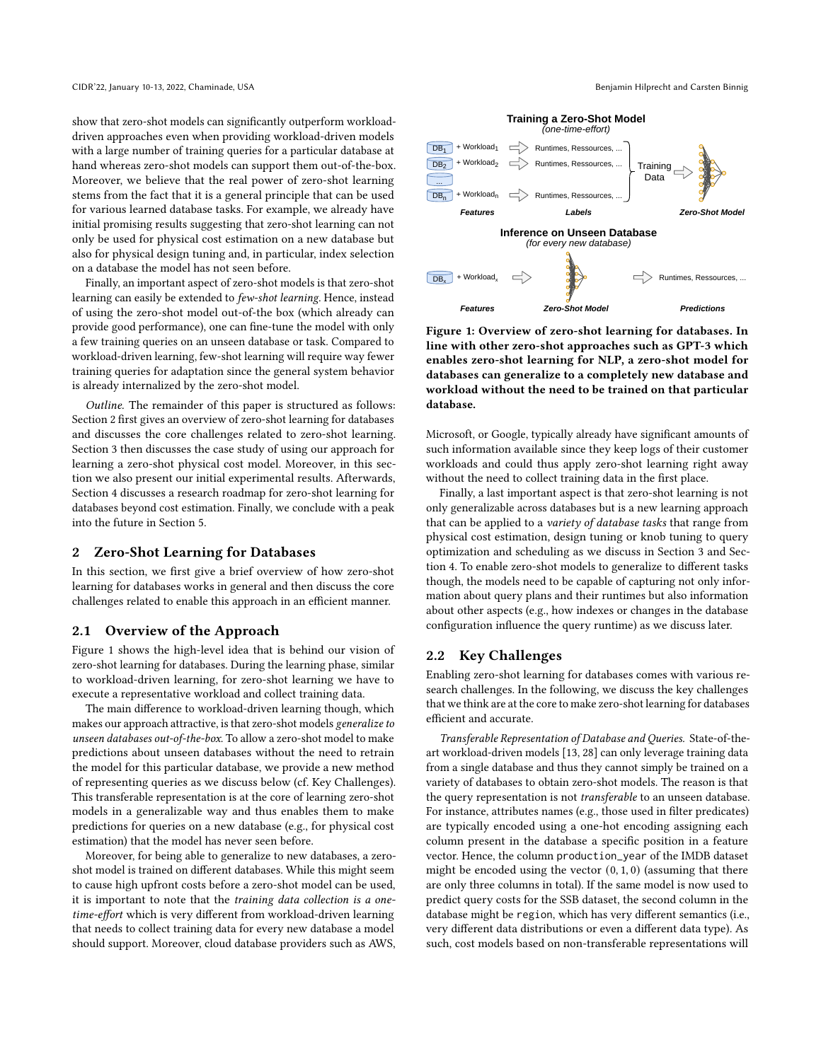show that zero-shot models can significantly outperform workloaddriven approaches even when providing workload-driven models with a large number of training queries for a particular database at hand whereas zero-shot models can support them out-of-the-box. Moreover, we believe that the real power of zero-shot learning stems from the fact that it is a general principle that can be used for various learned database tasks. For example, we already have initial promising results suggesting that zero-shot learning can not only be used for physical cost estimation on a new database but also for physical design tuning and, in particular, index selection on a database the model has not seen before.

Finally, an important aspect of zero-shot models is that zero-shot learning can easily be extended to few-shot learning. Hence, instead of using the zero-shot model out-of-the box (which already can provide good performance), one can fine-tune the model with only a few training queries on an unseen database or task. Compared to workload-driven learning, few-shot learning will require way fewer training queries for adaptation since the general system behavior is already internalized by the zero-shot model.

Outline. The remainder of this paper is structured as follows: Section [2](#page-1-0) first gives an overview of zero-shot learning for databases and discusses the core challenges related to zero-shot learning. Section [3](#page-3-0) then discusses the case study of using our approach for learning a zero-shot physical cost model. Moreover, in this section we also present our initial experimental results. Afterwards, Section [4](#page-4-0) discusses a research roadmap for zero-shot learning for databases beyond cost estimation. Finally, we conclude with a peak into the future in Section [5.](#page-5-0)

# <span id="page-1-0"></span>2 Zero-Shot Learning for Databases

In this section, we first give a brief overview of how zero-shot learning for databases works in general and then discuss the core challenges related to enable this approach in an efficient manner.

#### 2.1 Overview of the Approach

Figure [1](#page-1-1) shows the high-level idea that is behind our vision of zero-shot learning for databases. During the learning phase, similar to workload-driven learning, for zero-shot learning we have to execute a representative workload and collect training data.

The main difference to workload-driven learning though, which makes our approach attractive, is that zero-shot models generalize to unseen databases out-of-the-box. To allow a zero-shot model to make predictions about unseen databases without the need to retrain the model for this particular database, we provide a new method of representing queries as we discuss below (cf. Key Challenges). This transferable representation is at the core of learning zero-shot models in a generalizable way and thus enables them to make predictions for queries on a new database (e.g., for physical cost estimation) that the model has never seen before.

Moreover, for being able to generalize to new databases, a zeroshot model is trained on different databases. While this might seem to cause high upfront costs before a zero-shot model can be used, it is important to note that the training data collection is a onetime-effort which is very different from workload-driven learning that needs to collect training data for every new database a model should support. Moreover, cloud database providers such as AWS,

<span id="page-1-1"></span>

Figure 1: Overview of zero-shot learning for databases. In line with other zero-shot approaches such as GPT-3 which enables zero-shot learning for NLP, a zero-shot model for databases can generalize to a completely new database and workload without the need to be trained on that particular database.

Microsoft, or Google, typically already have significant amounts of such information available since they keep logs of their customer workloads and could thus apply zero-shot learning right away without the need to collect training data in the first place.

Finally, a last important aspect is that zero-shot learning is not only generalizable across databases but is a new learning approach that can be applied to a variety of database tasks that range from physical cost estimation, design tuning or knob tuning to query optimization and scheduling as we discuss in Section [3](#page-3-0) and Section [4.](#page-4-0) To enable zero-shot models to generalize to different tasks though, the models need to be capable of capturing not only information about query plans and their runtimes but also information about other aspects (e.g., how indexes or changes in the database configuration influence the query runtime) as we discuss later.

#### 2.2 Key Challenges

Enabling zero-shot learning for databases comes with various research challenges. In the following, we discuss the key challenges that we think are at the core to make zero-shot learning for databases efficient and accurate.

Transferable Representation of Database and Queries. State-of-theart workload-driven models [\[13,](#page-6-0) [28\]](#page-6-2) can only leverage training data from a single database and thus they cannot simply be trained on a variety of databases to obtain zero-shot models. The reason is that the query representation is not transferable to an unseen database. For instance, attributes names (e.g., those used in filter predicates) are typically encoded using a one-hot encoding assigning each column present in the database a specific position in a feature vector. Hence, the column production\_year of the IMDB dataset might be encoded using the vector  $(0, 1, 0)$  (assuming that there are only three columns in total). If the same model is now used to predict query costs for the SSB dataset, the second column in the database might be region, which has very different semantics (i.e., very different data distributions or even a different data type). As such, cost models based on non-transferable representations will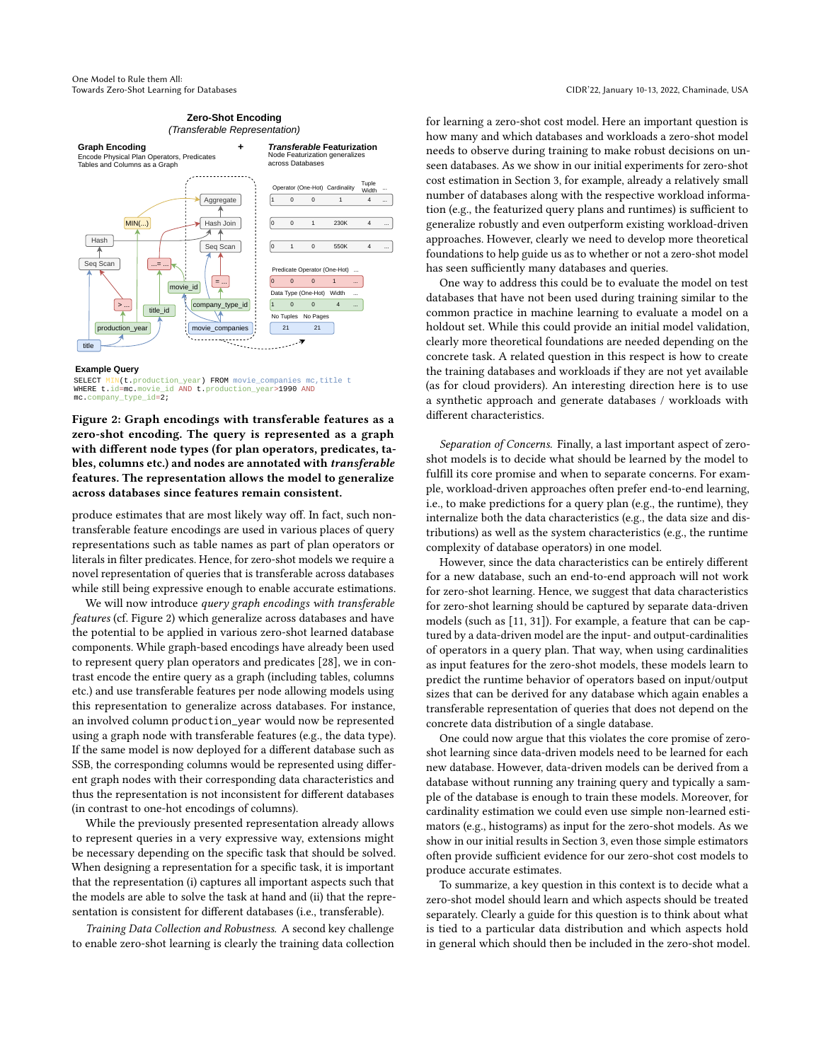#### **Zero-Shot Encoding** *(Transferable Representation)*

<span id="page-2-0"></span>

#### **Example Query**

SELECT MIN(t.production\_year) FROM movie\_companies mc, title t WHERE t.id=mc.movie\_id AND t.production\_year>1990 AND mc.company\_type\_id=2;

Figure 2: Graph encodings with transferable features as a zero-shot encoding. The query is represented as a graph with different node types (for plan operators, predicates, tables, columns etc.) and nodes are annotated with transferable features. The representation allows the model to generalize across databases since features remain consistent.

produce estimates that are most likely way off. In fact, such nontransferable feature encodings are used in various places of query representations such as table names as part of plan operators or literals in filter predicates. Hence, for zero-shot models we require a novel representation of queries that is transferable across databases while still being expressive enough to enable accurate estimations.

We will now introduce query graph encodings with transferable features (cf. Figure [2\)](#page-2-0) which generalize across databases and have the potential to be applied in various zero-shot learned database components. While graph-based encodings have already been used to represent query plan operators and predicates [\[28\]](#page-6-2), we in contrast encode the entire query as a graph (including tables, columns etc.) and use transferable features per node allowing models using this representation to generalize across databases. For instance, an involved column production\_year would now be represented using a graph node with transferable features (e.g., the data type). If the same model is now deployed for a different database such as SSB, the corresponding columns would be represented using different graph nodes with their corresponding data characteristics and thus the representation is not inconsistent for different databases (in contrast to one-hot encodings of columns).

While the previously presented representation already allows to represent queries in a very expressive way, extensions might be necessary depending on the specific task that should be solved. When designing a representation for a specific task, it is important that the representation (i) captures all important aspects such that the models are able to solve the task at hand and (ii) that the representation is consistent for different databases (i.e., transferable).

Training Data Collection and Robustness. A second key challenge to enable zero-shot learning is clearly the training data collection for learning a zero-shot cost model. Here an important question is how many and which databases and workloads a zero-shot model needs to observe during training to make robust decisions on unseen databases. As we show in our initial experiments for zero-shot cost estimation in Section [3,](#page-3-0) for example, already a relatively small number of databases along with the respective workload information (e.g., the featurized query plans and runtimes) is sufficient to generalize robustly and even outperform existing workload-driven approaches. However, clearly we need to develop more theoretical foundations to help guide us as to whether or not a zero-shot model has seen sufficiently many databases and queries.

One way to address this could be to evaluate the model on test databases that have not been used during training similar to the common practice in machine learning to evaluate a model on a holdout set. While this could provide an initial model validation, clearly more theoretical foundations are needed depending on the concrete task. A related question in this respect is how to create the training databases and workloads if they are not yet available (as for cloud providers). An interesting direction here is to use a synthetic approach and generate databases / workloads with different characteristics.

Separation of Concerns. Finally, a last important aspect of zeroshot models is to decide what should be learned by the model to fulfill its core promise and when to separate concerns. For example, workload-driven approaches often prefer end-to-end learning, i.e., to make predictions for a query plan (e.g., the runtime), they internalize both the data characteristics (e.g., the data size and distributions) as well as the system characteristics (e.g., the runtime complexity of database operators) in one model.

However, since the data characteristics can be entirely different for a new database, such an end-to-end approach will not work for zero-shot learning. Hence, we suggest that data characteristics for zero-shot learning should be captured by separate data-driven models (such as [\[11,](#page-6-1) [31\]](#page-6-3)). For example, a feature that can be captured by a data-driven model are the input- and output-cardinalities of operators in a query plan. That way, when using cardinalities as input features for the zero-shot models, these models learn to predict the runtime behavior of operators based on input/output sizes that can be derived for any database which again enables a transferable representation of queries that does not depend on the concrete data distribution of a single database.

One could now argue that this violates the core promise of zeroshot learning since data-driven models need to be learned for each new database. However, data-driven models can be derived from a database without running any training query and typically a sample of the database is enough to train these models. Moreover, for cardinality estimation we could even use simple non-learned estimators (e.g., histograms) as input for the zero-shot models. As we show in our initial results in Section [3,](#page-3-0) even those simple estimators often provide sufficient evidence for our zero-shot cost models to produce accurate estimates.

To summarize, a key question in this context is to decide what a zero-shot model should learn and which aspects should be treated separately. Clearly a guide for this question is to think about what is tied to a particular data distribution and which aspects hold in general which should then be included in the zero-shot model.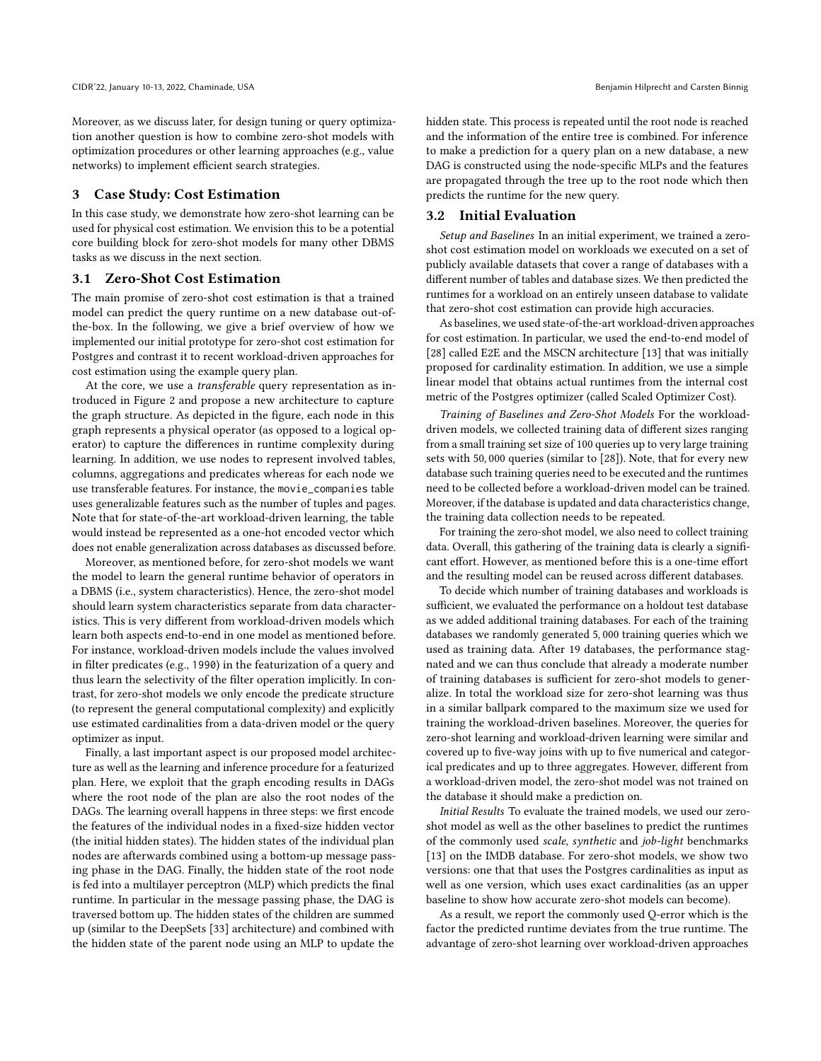Moreover, as we discuss later, for design tuning or query optimization another question is how to combine zero-shot models with optimization procedures or other learning approaches (e.g., value networks) to implement efficient search strategies.

#### <span id="page-3-0"></span>3 Case Study: Cost Estimation

In this case study, we demonstrate how zero-shot learning can be used for physical cost estimation. We envision this to be a potential core building block for zero-shot models for many other DBMS tasks as we discuss in the next section.

# 3.1 Zero-Shot Cost Estimation

The main promise of zero-shot cost estimation is that a trained model can predict the query runtime on a new database out-ofthe-box. In the following, we give a brief overview of how we implemented our initial prototype for zero-shot cost estimation for Postgres and contrast it to recent workload-driven approaches for cost estimation using the example query plan.

At the core, we use a transferable query representation as introduced in Figure [2](#page-2-0) and propose a new architecture to capture the graph structure. As depicted in the figure, each node in this graph represents a physical operator (as opposed to a logical operator) to capture the differences in runtime complexity during learning. In addition, we use nodes to represent involved tables, columns, aggregations and predicates whereas for each node we use transferable features. For instance, the movie\_companies table uses generalizable features such as the number of tuples and pages. Note that for state-of-the-art workload-driven learning, the table would instead be represented as a one-hot encoded vector which does not enable generalization across databases as discussed before.

Moreover, as mentioned before, for zero-shot models we want the model to learn the general runtime behavior of operators in a DBMS (i.e., system characteristics). Hence, the zero-shot model should learn system characteristics separate from data characteristics. This is very different from workload-driven models which learn both aspects end-to-end in one model as mentioned before. For instance, workload-driven models include the values involved in filter predicates (e.g., 1990) in the featurization of a query and thus learn the selectivity of the filter operation implicitly. In contrast, for zero-shot models we only encode the predicate structure (to represent the general computational complexity) and explicitly use estimated cardinalities from a data-driven model or the query optimizer as input.

Finally, a last important aspect is our proposed model architecture as well as the learning and inference procedure for a featurized plan. Here, we exploit that the graph encoding results in DAGs where the root node of the plan are also the root nodes of the DAGs. The learning overall happens in three steps: we first encode the features of the individual nodes in a fixed-size hidden vector (the initial hidden states). The hidden states of the individual plan nodes are afterwards combined using a bottom-up message passing phase in the DAG. Finally, the hidden state of the root node is fed into a multilayer perceptron (MLP) which predicts the final runtime. In particular in the message passing phase, the DAG is traversed bottom up. The hidden states of the children are summed up (similar to the DeepSets [\[33\]](#page-6-22) architecture) and combined with the hidden state of the parent node using an MLP to update the

hidden state. This process is repeated until the root node is reached and the information of the entire tree is combined. For inference to make a prediction for a query plan on a new database, a new DAG is constructed using the node-specific MLPs and the features are propagated through the tree up to the root node which then predicts the runtime for the new query.

#### 3.2 Initial Evaluation

Setup and Baselines In an initial experiment, we trained a zeroshot cost estimation model on workloads we executed on a set of publicly available datasets that cover a range of databases with a different number of tables and database sizes. We then predicted the runtimes for a workload on an entirely unseen database to validate that zero-shot cost estimation can provide high accuracies.

As baselines, we used state-of-the-art workload-driven approaches for cost estimation. In particular, we used the end-to-end model of [\[28\]](#page-6-2) called E2E and the MSCN architecture [\[13\]](#page-6-0) that was initially proposed for cardinality estimation. In addition, we use a simple linear model that obtains actual runtimes from the internal cost metric of the Postgres optimizer (called Scaled Optimizer Cost).

Training of Baselines and Zero-Shot Models For the workloaddriven models, we collected training data of different sizes ranging from a small training set size of 100 queries up to very large training sets with 50, 000 queries (similar to [\[28\]](#page-6-2)). Note, that for every new database such training queries need to be executed and the runtimes need to be collected before a workload-driven model can be trained. Moreover, if the database is updated and data characteristics change, the training data collection needs to be repeated.

For training the zero-shot model, we also need to collect training data. Overall, this gathering of the training data is clearly a significant effort. However, as mentioned before this is a one-time effort and the resulting model can be reused across different databases.

To decide which number of training databases and workloads is sufficient, we evaluated the performance on a holdout test database as we added additional training databases. For each of the training databases we randomly generated 5, 000 training queries which we used as training data. After 19 databases, the performance stagnated and we can thus conclude that already a moderate number of training databases is sufficient for zero-shot models to generalize. In total the workload size for zero-shot learning was thus in a similar ballpark compared to the maximum size we used for training the workload-driven baselines. Moreover, the queries for zero-shot learning and workload-driven learning were similar and covered up to five-way joins with up to five numerical and categorical predicates and up to three aggregates. However, different from a workload-driven model, the zero-shot model was not trained on the database it should make a prediction on.

Initial Results To evaluate the trained models, we used our zeroshot model as well as the other baselines to predict the runtimes of the commonly used scale, synthetic and job-light benchmarks [\[13\]](#page-6-0) on the IMDB database. For zero-shot models, we show two versions: one that that uses the Postgres cardinalities as input as well as one version, which uses exact cardinalities (as an upper baseline to show how accurate zero-shot models can become).

As a result, we report the commonly used Q-error which is the factor the predicted runtime deviates from the true runtime. The advantage of zero-shot learning over workload-driven approaches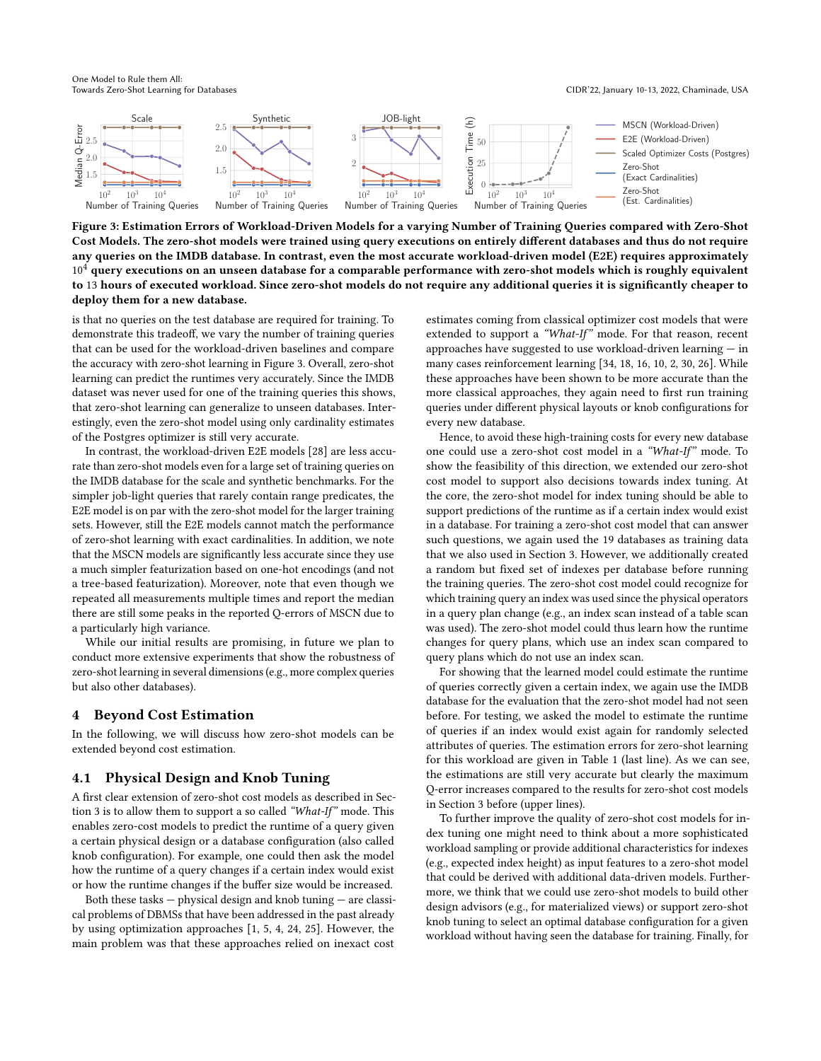One Model to Rule them All:

<span id="page-4-1"></span>

Figure 3: Estimation Errors of Workload-Driven Models for a varying Number of Training Queries compared with Zero-Shot Cost Models. The zero-shot models were trained using query executions on entirely different databases and thus do not require any queries on the IMDB database. In contrast, even the most accurate workload-driven model (E2E) requires approximately  $10<sup>4</sup>$  query executions on an unseen database for a comparable performance with zero-shot models which is roughly equivalent to 13 hours of executed workload. Since zero-shot models do not require any additional queries it is significantly cheaper to deploy them for a new database.

is that no queries on the test database are required for training. To demonstrate this tradeoff, we vary the number of training queries that can be used for the workload-driven baselines and compare the accuracy with zero-shot learning in Figure [3.](#page-4-1) Overall, zero-shot learning can predict the runtimes very accurately. Since the IMDB dataset was never used for one of the training queries this shows, that zero-shot learning can generalize to unseen databases. Interestingly, even the zero-shot model using only cardinality estimates of the Postgres optimizer is still very accurate.

In contrast, the workload-driven E2E models [\[28\]](#page-6-2) are less accurate than zero-shot models even for a large set of training queries on the IMDB database for the scale and synthetic benchmarks. For the simpler job-light queries that rarely contain range predicates, the E2E model is on par with the zero-shot model for the larger training sets. However, still the E2E models cannot match the performance of zero-shot learning with exact cardinalities. In addition, we note that the MSCN models are significantly less accurate since they use a much simpler featurization based on one-hot encodings (and not a tree-based featurization). Moreover, note that even though we repeated all measurements multiple times and report the median there are still some peaks in the reported Q-errors of MSCN due to a particularly high variance.

While our initial results are promising, in future we plan to conduct more extensive experiments that show the robustness of zero-shot learning in several dimensions (e.g., more complex queries but also other databases).

# <span id="page-4-0"></span>4 Beyond Cost Estimation

In the following, we will discuss how zero-shot models can be extended beyond cost estimation.

# 4.1 Physical Design and Knob Tuning

A first clear extension of zero-shot cost models as described in Section [3](#page-3-0) is to allow them to support a so called "What-If" mode. This enables zero-cost models to predict the runtime of a query given a certain physical design or a database configuration (also called knob configuration). For example, one could then ask the model how the runtime of a query changes if a certain index would exist or how the runtime changes if the buffer size would be increased.

Both these tasks — physical design and knob tuning — are classical problems of DBMSs that have been addressed in the past already by using optimization approaches [\[1,](#page-6-23) [5,](#page-6-24) [4,](#page-6-25) [24,](#page-6-26) [25\]](#page-6-27). However, the main problem was that these approaches relied on inexact cost

estimates coming from classical optimizer cost models that were extended to support a "What-If" mode. For that reason, recent approaches have suggested to use workload-driven learning  $-$  in many cases reinforcement learning [\[34,](#page-6-16) [18,](#page-6-17) [16,](#page-6-28) [10,](#page-6-18) [2,](#page-6-29) [30,](#page-6-30) [26\]](#page-6-31). While these approaches have been shown to be more accurate than the more classical approaches, they again need to first run training queries under different physical layouts or knob configurations for every new database.

Hence, to avoid these high-training costs for every new database one could use a zero-shot cost model in a "What-If" mode. To show the feasibility of this direction, we extended our zero-shot cost model to support also decisions towards index tuning. At the core, the zero-shot model for index tuning should be able to support predictions of the runtime as if a certain index would exist in a database. For training a zero-shot cost model that can answer such questions, we again used the 19 databases as training data that we also used in Section [3.](#page-3-0) However, we additionally created a random but fixed set of indexes per database before running the training queries. The zero-shot cost model could recognize for which training query an index was used since the physical operators in a query plan change (e.g., an index scan instead of a table scan was used). The zero-shot model could thus learn how the runtime changes for query plans, which use an index scan compared to query plans which do not use an index scan.

For showing that the learned model could estimate the runtime of queries correctly given a certain index, we again use the IMDB database for the evaluation that the zero-shot model had not seen before. For testing, we asked the model to estimate the runtime of queries if an index would exist again for randomly selected attributes of queries. The estimation errors for zero-shot learning for this workload are given in Table [1](#page-5-1) (last line). As we can see, the estimations are still very accurate but clearly the maximum Q-error increases compared to the results for zero-shot cost models in Section [3](#page-3-0) before (upper lines).

To further improve the quality of zero-shot cost models for index tuning one might need to think about a more sophisticated workload sampling or provide additional characteristics for indexes (e.g., expected index height) as input features to a zero-shot model that could be derived with additional data-driven models. Furthermore, we think that we could use zero-shot models to build other design advisors (e.g., for materialized views) or support zero-shot knob tuning to select an optimal database configuration for a given workload without having seen the database for training. Finally, for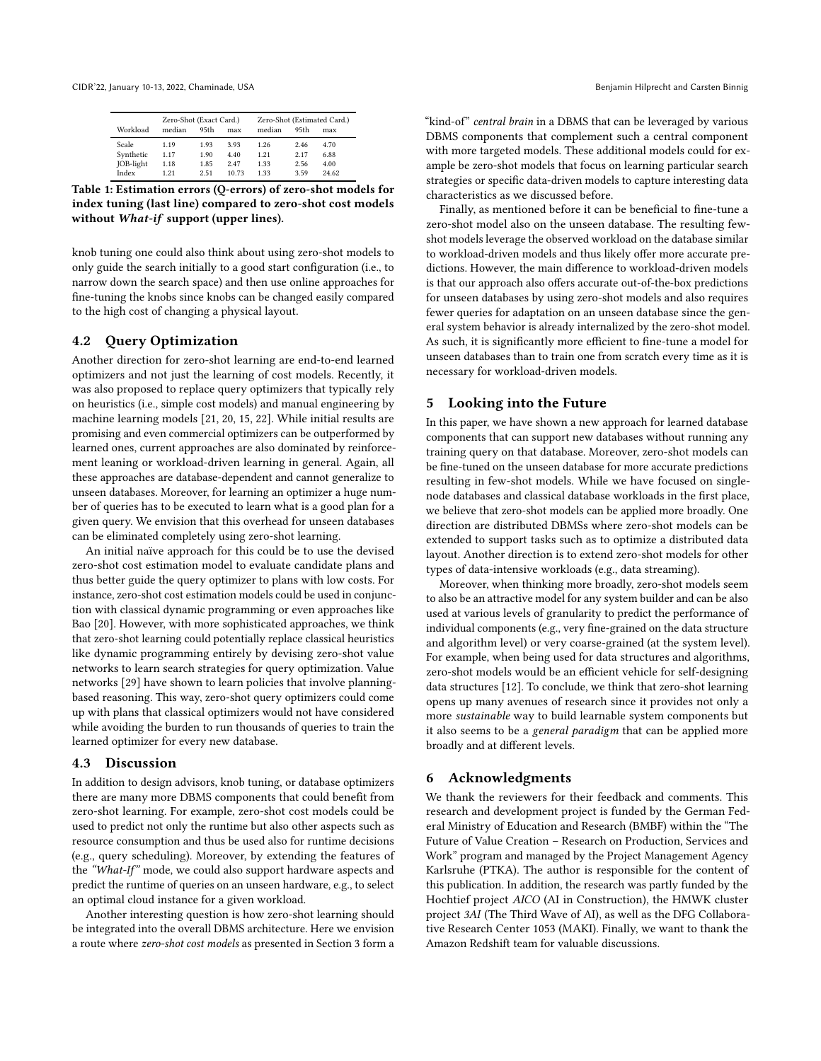<span id="page-5-1"></span>CIDR'22, January 10-13, 2022, Chaminade, USA Benjamin Hilprecht and Carsten Binnig

| Workload  | Zero-Shot (Exact Card.)<br>median<br>95th<br>max |      | Zero-Shot (Estimated Card.)<br>median<br>95th<br>max |      |      |       |
|-----------|--------------------------------------------------|------|------------------------------------------------------|------|------|-------|
| Scale     | 1.19                                             | 1.93 | 3.93                                                 | 1.26 | 2.46 | 4.70  |
| Synthetic | 1.17                                             | 1.90 | 4.40                                                 | 1.21 | 2.17 | 6.88  |
| JOB-light | 1.18                                             | 1.85 | 2.47                                                 | 1.33 | 2.56 | 4.00  |
| Index     | 1 21                                             | 2.51 | 10.73                                                | 133  | 3.59 | 24.62 |

Table 1: Estimation errors (Q-errors) of zero-shot models for index tuning (last line) compared to zero-shot cost models without What-if support (upper lines).

knob tuning one could also think about using zero-shot models to only guide the search initially to a good start configuration (i.e., to narrow down the search space) and then use online approaches for fine-tuning the knobs since knobs can be changed easily compared to the high cost of changing a physical layout.

# 4.2 Query Optimization

Another direction for zero-shot learning are end-to-end learned optimizers and not just the learning of cost models. Recently, it was also proposed to replace query optimizers that typically rely on heuristics (i.e., simple cost models) and manual engineering by machine learning models [\[21,](#page-6-6) [20,](#page-6-7) [15,](#page-6-8) [22\]](#page-6-9). While initial results are promising and even commercial optimizers can be outperformed by learned ones, current approaches are also dominated by reinforcement leaning or workload-driven learning in general. Again, all these approaches are database-dependent and cannot generalize to unseen databases. Moreover, for learning an optimizer a huge number of queries has to be executed to learn what is a good plan for a given query. We envision that this overhead for unseen databases can be eliminated completely using zero-shot learning.

An initial naïve approach for this could be to use the devised zero-shot cost estimation model to evaluate candidate plans and thus better guide the query optimizer to plans with low costs. For instance, zero-shot cost estimation models could be used in conjunction with classical dynamic programming or even approaches like Bao [\[20\]](#page-6-7). However, with more sophisticated approaches, we think that zero-shot learning could potentially replace classical heuristics like dynamic programming entirely by devising zero-shot value networks to learn search strategies for query optimization. Value networks [\[29\]](#page-6-32) have shown to learn policies that involve planningbased reasoning. This way, zero-shot query optimizers could come up with plans that classical optimizers would not have considered while avoiding the burden to run thousands of queries to train the learned optimizer for every new database.

#### 4.3 Discussion

In addition to design advisors, knob tuning, or database optimizers there are many more DBMS components that could benefit from zero-shot learning. For example, zero-shot cost models could be used to predict not only the runtime but also other aspects such as resource consumption and thus be used also for runtime decisions (e.g., query scheduling). Moreover, by extending the features of the "What-If" mode, we could also support hardware aspects and predict the runtime of queries on an unseen hardware, e.g., to select an optimal cloud instance for a given workload.

Another interesting question is how zero-shot learning should be integrated into the overall DBMS architecture. Here we envision a route where zero-shot cost models as presented in Section [3](#page-3-0) form a "kind-of" central brain in a DBMS that can be leveraged by various DBMS components that complement such a central component with more targeted models. These additional models could for example be zero-shot models that focus on learning particular search strategies or specific data-driven models to capture interesting data characteristics as we discussed before.

Finally, as mentioned before it can be beneficial to fine-tune a zero-shot model also on the unseen database. The resulting fewshot models leverage the observed workload on the database similar to workload-driven models and thus likely offer more accurate predictions. However, the main difference to workload-driven models is that our approach also offers accurate out-of-the-box predictions for unseen databases by using zero-shot models and also requires fewer queries for adaptation on an unseen database since the general system behavior is already internalized by the zero-shot model. As such, it is significantly more efficient to fine-tune a model for unseen databases than to train one from scratch every time as it is necessary for workload-driven models.

### <span id="page-5-0"></span>5 Looking into the Future

In this paper, we have shown a new approach for learned database components that can support new databases without running any training query on that database. Moreover, zero-shot models can be fine-tuned on the unseen database for more accurate predictions resulting in few-shot models. While we have focused on singlenode databases and classical database workloads in the first place, we believe that zero-shot models can be applied more broadly. One direction are distributed DBMSs where zero-shot models can be extended to support tasks such as to optimize a distributed data layout. Another direction is to extend zero-shot models for other types of data-intensive workloads (e.g., data streaming).

Moreover, when thinking more broadly, zero-shot models seem to also be an attractive model for any system builder and can be also used at various levels of granularity to predict the performance of individual components (e.g., very fine-grained on the data structure and algorithm level) or very coarse-grained (at the system level). For example, when being used for data structures and algorithms, zero-shot models would be an efficient vehicle for self-designing data structures [\[12\]](#page-6-33). To conclude, we think that zero-shot learning opens up many avenues of research since it provides not only a more sustainable way to build learnable system components but it also seems to be a general paradigm that can be applied more broadly and at different levels.

#### 6 Acknowledgments

We thank the reviewers for their feedback and comments. This research and development project is funded by the German Federal Ministry of Education and Research (BMBF) within the "The Future of Value Creation – Research on Production, Services and Work" program and managed by the Project Management Agency Karlsruhe (PTKA). The author is responsible for the content of this publication. In addition, the research was partly funded by the Hochtief project AICO (AI in Construction), the HMWK cluster project 3AI (The Third Wave of AI), as well as the DFG Collaborative Research Center 1053 (MAKI). Finally, we want to thank the Amazon Redshift team for valuable discussions.